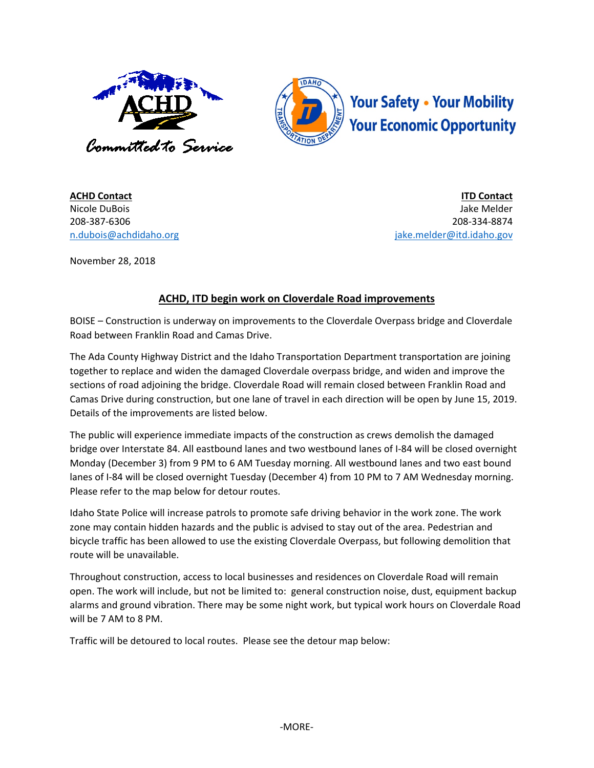



**ACHD Contact** Nicole DuBois 208-387-6306 [n.dubois@achdidaho.org](mailto:n.dubois@achdidaho.org)

**ITD Contact** Jake Melder 208-334-8874 jake.melder@itd.idaho.gov

November 28, 2018

## **ACHD, ITD begin work on Cloverdale Road improvements**

BOISE – Construction is underway on improvements to the Cloverdale Overpass bridge and Cloverdale Road between Franklin Road and Camas Drive.

The Ada County Highway District and the Idaho Transportation Department transportation are joining together to replace and widen the damaged Cloverdale overpass bridge, and widen and improve the sections of road adjoining the bridge. Cloverdale Road will remain closed between Franklin Road and Camas Drive during construction, but one lane of travel in each direction will be open by June 15, 2019. Details of the improvements are listed below.

The public will experience immediate impacts of the construction as crews demolish the damaged bridge over Interstate 84. All eastbound lanes and two westbound lanes of I-84 will be closed overnight Monday (December 3) from 9 PM to 6 AM Tuesday morning. All westbound lanes and two east bound lanes of I-84 will be closed overnight Tuesday (December 4) from 10 PM to 7 AM Wednesday morning. Please refer to the map below for detour routes.

Idaho State Police will increase patrols to promote safe driving behavior in the work zone. The work zone may contain hidden hazards and the public is advised to stay out of the area. Pedestrian and bicycle traffic has been allowed to use the existing Cloverdale Overpass, but following demolition that route will be unavailable.

Throughout construction, access to local businesses and residences on Cloverdale Road will remain open. The work will include, but not be limited to: general construction noise, dust, equipment backup alarms and ground vibration. There may be some night work, but typical work hours on Cloverdale Road will be 7 AM to 8 PM.

Traffic will be detoured to local routes. Please see the detour map below: